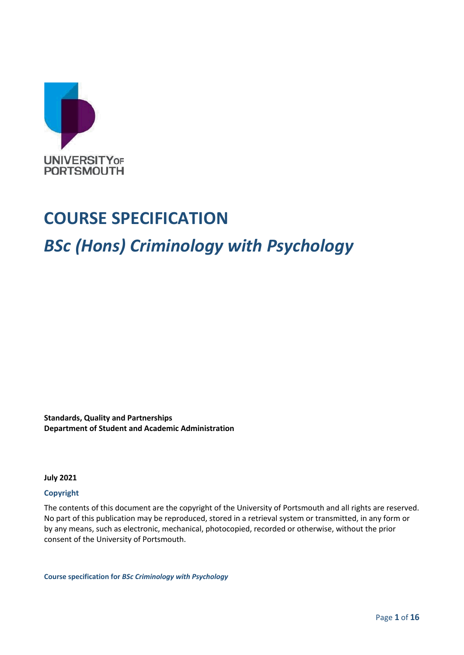

## **COURSE SPECIFICATION**

# *BSc (Hons) Criminology with Psychology*

**Standards, Quality and Partnerships Department of Student and Academic Administration**

**July 2021**

#### **Copyright**

The contents of this document are the copyright of the University of Portsmouth and all rights are reserved. No part of this publication may be reproduced, stored in a retrieval system or transmitted, in any form or by any means, such as electronic, mechanical, photocopied, recorded or otherwise, without the prior consent of the University of Portsmouth.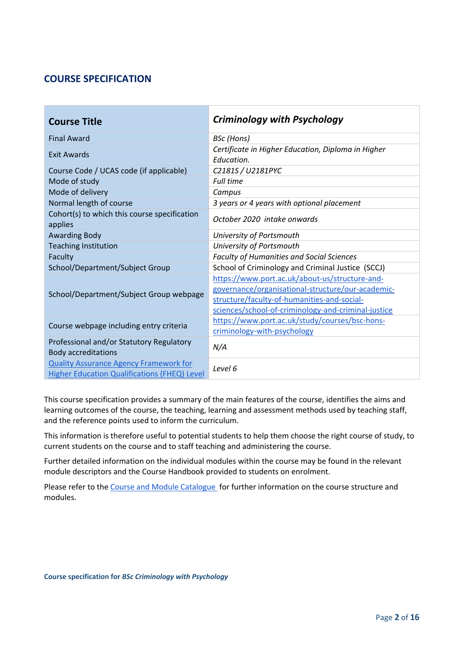## **COURSE SPECIFICATION**

| <b>Course Title</b>                                                                                  | <b>Criminology with Psychology</b>                                                                                                                                                                        |
|------------------------------------------------------------------------------------------------------|-----------------------------------------------------------------------------------------------------------------------------------------------------------------------------------------------------------|
| <b>Final Award</b>                                                                                   | BSc (Hons)                                                                                                                                                                                                |
| Exit Awards                                                                                          | Certificate in Higher Education, Diploma in Higher<br>Education.                                                                                                                                          |
| Course Code / UCAS code (if applicable)                                                              | C2181S / U2181PYC                                                                                                                                                                                         |
| Mode of study                                                                                        | Full time                                                                                                                                                                                                 |
| Mode of delivery                                                                                     | Campus                                                                                                                                                                                                    |
| Normal length of course                                                                              | 3 years or 4 years with optional placement                                                                                                                                                                |
| Cohort(s) to which this course specification<br>applies                                              | October 2020 intake onwards                                                                                                                                                                               |
| <b>Awarding Body</b>                                                                                 | University of Portsmouth                                                                                                                                                                                  |
| <b>Teaching Institution</b>                                                                          | University of Portsmouth                                                                                                                                                                                  |
| Faculty                                                                                              | <b>Faculty of Humanities and Social Sciences</b>                                                                                                                                                          |
| School/Department/Subject Group                                                                      | School of Criminology and Criminal Justice (SCCJ)                                                                                                                                                         |
| School/Department/Subject Group webpage                                                              | https://www.port.ac.uk/about-us/structure-and-<br>governance/organisational-structure/our-academic-<br>structure/faculty-of-humanities-and-social-<br>sciences/school-of-criminology-and-criminal-justice |
| Course webpage including entry criteria                                                              | https://www.port.ac.uk/study/courses/bsc-hons-<br>criminology-with-psychology                                                                                                                             |
| Professional and/or Statutory Regulatory<br><b>Body accreditations</b>                               | N/A                                                                                                                                                                                                       |
| <b>Quality Assurance Agency Framework for</b><br><b>Higher Education Qualifications (FHEQ) Level</b> | Level 6                                                                                                                                                                                                   |

This course specification provides a summary of the main features of the course, identifies the aims and learning outcomes of the course, the teaching, learning and assessment methods used by teaching staff, and the reference points used to inform the curriculum.

This information is therefore useful to potential students to help them choose the right course of study, to current students on the course and to staff teaching and administering the course.

Further detailed information on the individual modules within the course may be found in the relevant module descriptors and the Course Handbook provided to students on enrolment.

Please refer to the [Course and Module Catalogue](https://course-module-catalog.port.ac.uk/#/welcome) for further information on the course structure and modules.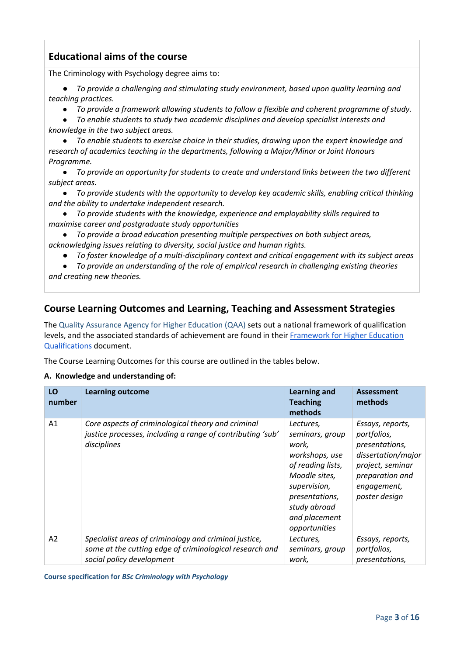## **Educational aims of the course**

The Criminology with Psychology degree aims to:

● *To provide a challenging and stimulating study environment, based upon quality learning and teaching practices.*

● *To provide a framework allowing students to follow a flexible and coherent programme of study.*

● *To enable students to study two academic disciplines and develop specialist interests and knowledge in the two subject areas.*

● *To enable students to exercise choice in their studies, drawing upon the expert knowledge and research of academics teaching in the departments, following a Major/Minor or Joint Honours Programme.*

● *To provide an opportunity for students to create and understand links between the two different subject areas.*

● *To provide students with the opportunity to develop key academic skills, enabling critical thinking and the ability to undertake independent research.*

● *To provide students with the knowledge, experience and employability skills required to maximise career and postgraduate study opportunities*

● *To provide a broad education presenting multiple perspectives on both subject areas, acknowledging issues relating to diversity, social justice and human rights.*

● *To foster knowledge of a multi-disciplinary context and critical engagement with its subject areas*

● *To provide an understanding of the role of empirical research in challenging existing theories and creating new theories.*

## **Course Learning Outcomes and Learning, Teaching and Assessment Strategies**

The [Quality Assurance Agency for Higher Education \(QAA\)](http://www.qaa.ac.uk/en) sets out a national framework of qualification levels, and the associated standards of achievement are found in their [Framework for Higher Education](https://www.qaa.ac.uk/docs/qaa/quality-code/qualifications-frameworks.pdf)  [Qualifications](https://www.qaa.ac.uk/docs/qaa/quality-code/qualifications-frameworks.pdf) document.

The Course Learning Outcomes for this course are outlined in the tables below.

#### **A. Knowledge and understanding of:**

| LO<br>number   | <b>Learning outcome</b>                                                                                                                       | <b>Learning and</b><br><b>Teaching</b><br>methods                                                                                                                                 | <b>Assessment</b><br>methods                                                                                                                   |
|----------------|-----------------------------------------------------------------------------------------------------------------------------------------------|-----------------------------------------------------------------------------------------------------------------------------------------------------------------------------------|------------------------------------------------------------------------------------------------------------------------------------------------|
| A <sub>1</sub> | Core aspects of criminological theory and criminal<br>justice processes, including a range of contributing 'sub'<br>disciplines               | Lectures,<br>seminars, group<br>work,<br>workshops, use<br>of reading lists,<br>Moodle sites,<br>supervision,<br>presentations,<br>study abroad<br>and placement<br>opportunities | Essays, reports,<br>portfolios,<br>presentations,<br>dissertation/major<br>project, seminar<br>preparation and<br>engagement,<br>poster design |
| A <sub>2</sub> | Specialist areas of criminology and criminal justice,<br>some at the cutting edge of criminological research and<br>social policy development | Lectures,<br>seminars, group<br>work,                                                                                                                                             | Essays, reports,<br>portfolios,<br>presentations,                                                                                              |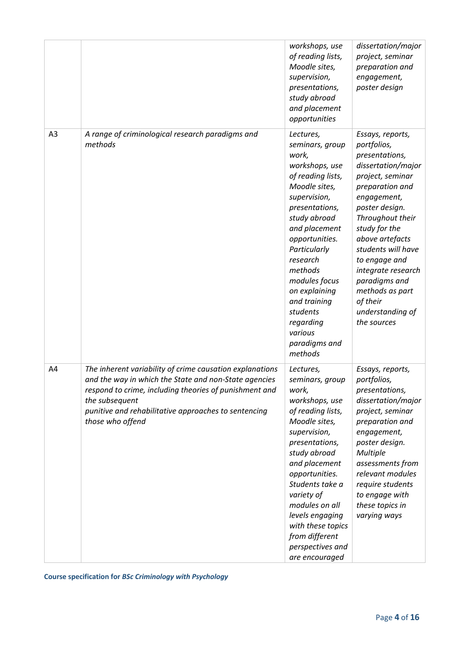|    |                                                                                                                                                                                                                                                                           | workshops, use<br>of reading lists,<br>Moodle sites,<br>supervision,<br>presentations,<br>study abroad<br>and placement<br>opportunities                                                                                                                                                                                                    | dissertation/major<br>project, seminar<br>preparation and<br>engagement,<br>poster design                                                                                                                                                                                                                                                               |
|----|---------------------------------------------------------------------------------------------------------------------------------------------------------------------------------------------------------------------------------------------------------------------------|---------------------------------------------------------------------------------------------------------------------------------------------------------------------------------------------------------------------------------------------------------------------------------------------------------------------------------------------|---------------------------------------------------------------------------------------------------------------------------------------------------------------------------------------------------------------------------------------------------------------------------------------------------------------------------------------------------------|
| A3 | A range of criminological research paradigms and<br>methods                                                                                                                                                                                                               | Lectures,<br>seminars, group<br>work,<br>workshops, use<br>of reading lists,<br>Moodle sites,<br>supervision,<br>presentations,<br>study abroad<br>and placement<br>opportunities.<br>Particularly<br>research<br>methods<br>modules focus<br>on explaining<br>and training<br>students<br>regarding<br>various<br>paradigms and<br>methods | Essays, reports,<br>portfolios,<br>presentations,<br>dissertation/major<br>project, seminar<br>preparation and<br>engagement,<br>poster design.<br>Throughout their<br>study for the<br>above artefacts<br>students will have<br>to engage and<br>integrate research<br>paradigms and<br>methods as part<br>of their<br>understanding of<br>the sources |
| A4 | The inherent variability of crime causation explanations<br>and the way in which the State and non-State agencies<br>respond to crime, including theories of punishment and<br>the subsequent<br>punitive and rehabilitative approaches to sentencing<br>those who offend | Lectures,<br>seminars, group<br>work,<br>workshops, use<br>of reading lists,<br>Moodle sites,<br>supervision,<br>presentations,<br>study abroad<br>and placement<br>opportunities.<br>Students take a<br>variety of<br>modules on all<br>levels engaging<br>with these topics<br>from different<br>perspectives and<br>are encouraged       | Essays, reports,<br>portfolios,<br>presentations,<br>dissertation/major<br>project, seminar<br>preparation and<br>engagement,<br>poster design.<br><b>Multiple</b><br>assessments from<br>relevant modules<br>require students<br>to engage with<br>these topics in<br>varying ways                                                                     |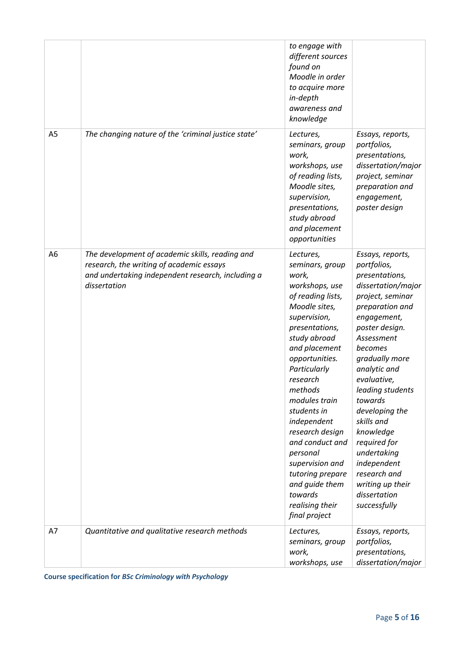|                |                                                                                                                                                                  | to engage with<br>different sources<br>found on<br>Moodle in order<br>to acquire more<br>in-depth<br>awareness and<br>knowledge                                                                                                                                                                                                                                                                                                    |                                                                                                                                                                                                                                                                                                                                                                                                                         |
|----------------|------------------------------------------------------------------------------------------------------------------------------------------------------------------|------------------------------------------------------------------------------------------------------------------------------------------------------------------------------------------------------------------------------------------------------------------------------------------------------------------------------------------------------------------------------------------------------------------------------------|-------------------------------------------------------------------------------------------------------------------------------------------------------------------------------------------------------------------------------------------------------------------------------------------------------------------------------------------------------------------------------------------------------------------------|
| A <sub>5</sub> | The changing nature of the 'criminal justice state'                                                                                                              | Lectures,<br>seminars, group<br>work,<br>workshops, use<br>of reading lists,<br>Moodle sites,<br>supervision,<br>presentations,<br>study abroad<br>and placement<br>opportunities                                                                                                                                                                                                                                                  | Essays, reports,<br>portfolios,<br>presentations,<br>dissertation/major<br>project, seminar<br>preparation and<br>engagement,<br>poster design                                                                                                                                                                                                                                                                          |
| A6             | The development of academic skills, reading and<br>research, the writing of academic essays<br>and undertaking independent research, including a<br>dissertation | Lectures,<br>seminars, group<br>work,<br>workshops, use<br>of reading lists,<br>Moodle sites,<br>supervision,<br>presentations,<br>study abroad<br>and placement<br>opportunities.<br>Particularly<br>research<br>methods<br>modules train<br>students in<br>independent<br>research design<br>and conduct and<br>personal<br>supervision and<br>tutoring prepare<br>and quide them<br>towards<br>realising their<br>final project | Essays, reports,<br>portfolios,<br>presentations,<br>dissertation/major<br>project, seminar<br>preparation and<br>engagement,<br>poster design.<br>Assessment<br>becomes<br>gradually more<br>analytic and<br>evaluative,<br>leading students<br>towards<br>developing the<br>skills and<br>knowledge<br>required for<br>undertaking<br>independent<br>research and<br>writing up their<br>dissertation<br>successfully |
| A7             | Quantitative and qualitative research methods                                                                                                                    | Lectures,<br>seminars, group<br>work,<br>workshops, use                                                                                                                                                                                                                                                                                                                                                                            | Essays, reports,<br>portfolios,<br>presentations,<br>dissertation/major                                                                                                                                                                                                                                                                                                                                                 |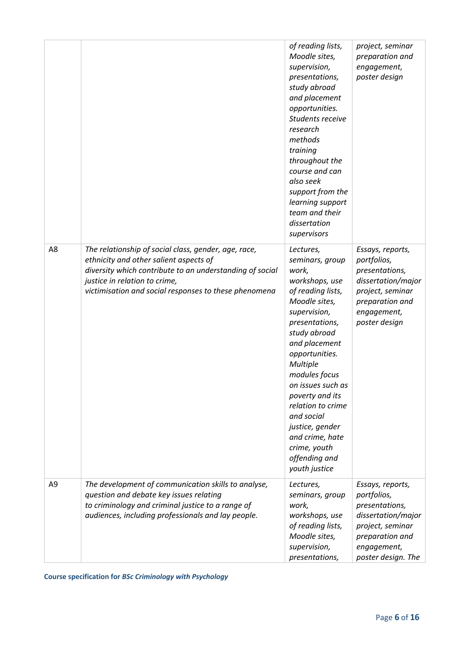|                |                                                                                                                                                                                                                                                      | of reading lists,<br>Moodle sites,<br>supervision,<br>presentations,<br>study abroad<br>and placement<br>opportunities.<br>Students receive<br>research<br>methods<br>training<br>throughout the<br>course and can<br>also seek<br>support from the<br>learning support<br>team and their<br>dissertation<br>supervisors                                                           | project, seminar<br>preparation and<br>engagement,<br>poster design                                                                                 |
|----------------|------------------------------------------------------------------------------------------------------------------------------------------------------------------------------------------------------------------------------------------------------|------------------------------------------------------------------------------------------------------------------------------------------------------------------------------------------------------------------------------------------------------------------------------------------------------------------------------------------------------------------------------------|-----------------------------------------------------------------------------------------------------------------------------------------------------|
| A8             | The relationship of social class, gender, age, race,<br>ethnicity and other salient aspects of<br>diversity which contribute to an understanding of social<br>justice in relation to crime,<br>victimisation and social responses to these phenomena | Lectures,<br>seminars, group<br>work,<br>workshops, use<br>of reading lists,<br>Moodle sites,<br>supervision,<br>presentations,<br>study abroad<br>and placement<br>opportunities.<br>Multiple<br>modules focus<br>on issues such as<br>poverty and its<br>relation to crime<br>and social<br>justice, gender<br>and crime, hate<br>crime, youth<br>offending and<br>youth justice | Essays, reports,<br>portfolios,<br>presentations,<br>dissertation/major<br>project, seminar<br>preparation and<br>engagement,<br>poster design      |
| A <sub>9</sub> | The development of communication skills to analyse,<br>question and debate key issues relating<br>to criminology and criminal justice to a range of<br>audiences, including professionals and lay people.                                            | Lectures,<br>seminars, group<br>work,<br>workshops, use<br>of reading lists,<br>Moodle sites,<br>supervision,<br>presentations,                                                                                                                                                                                                                                                    | Essays, reports,<br>portfolios,<br>presentations,<br>dissertation/major<br>project, seminar<br>preparation and<br>engagement,<br>poster design. The |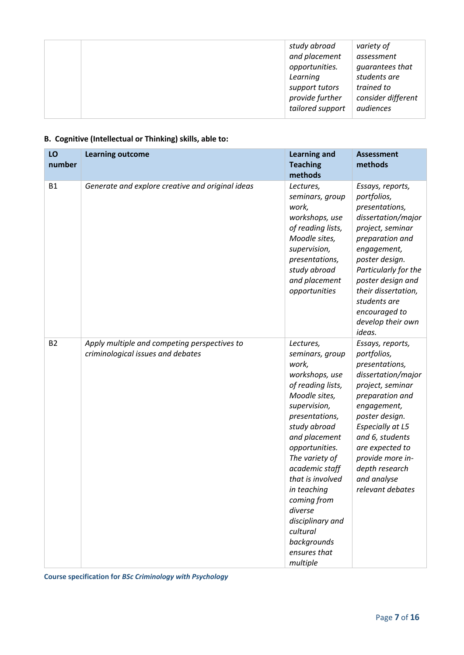|  | study abroad<br>and placement<br>opportunities.<br>Learning<br>support tutors<br>provide further<br>tailored support | variety of<br>assessment<br>guarantees that<br>students are<br>trained to<br>consider different<br>audiences |
|--|----------------------------------------------------------------------------------------------------------------------|--------------------------------------------------------------------------------------------------------------|
|--|----------------------------------------------------------------------------------------------------------------------|--------------------------------------------------------------------------------------------------------------|

## **B. Cognitive (Intellectual or Thinking) skills, able to:**

| LO<br>number | <b>Learning outcome</b>                                                           | <b>Learning and</b><br><b>Teaching</b><br>methods                                                                                                                                                                                                                                                                                                              | <b>Assessment</b><br>methods                                                                                                                                                                                                                                                              |
|--------------|-----------------------------------------------------------------------------------|----------------------------------------------------------------------------------------------------------------------------------------------------------------------------------------------------------------------------------------------------------------------------------------------------------------------------------------------------------------|-------------------------------------------------------------------------------------------------------------------------------------------------------------------------------------------------------------------------------------------------------------------------------------------|
| <b>B1</b>    | Generate and explore creative and original ideas                                  | Lectures,<br>seminars, group<br>work,<br>workshops, use<br>of reading lists,<br>Moodle sites,<br>supervision,<br>presentations,<br>study abroad<br>and placement<br>opportunities                                                                                                                                                                              | Essays, reports,<br>portfolios,<br>presentations,<br>dissertation/major<br>project, seminar<br>preparation and<br>engagement,<br>poster design.<br>Particularly for the<br>poster design and<br>their dissertation,<br>students are<br>encouraged to<br>develop their own<br>ideas.       |
| <b>B2</b>    | Apply multiple and competing perspectives to<br>criminological issues and debates | Lectures,<br>seminars, group<br>work,<br>workshops, use<br>of reading lists,<br>Moodle sites,<br>supervision,<br>presentations,<br>study abroad<br>and placement<br>opportunities.<br>The variety of<br>academic staff<br>that is involved<br>in teaching<br>coming from<br>diverse<br>disciplinary and<br>cultural<br>backgrounds<br>ensures that<br>multiple | Essays, reports,<br>portfolios,<br>presentations,<br>dissertation/major<br>project, seminar<br>preparation and<br>engagement,<br>poster design.<br><b>Especially at L5</b><br>and 6, students<br>are expected to<br>provide more in-<br>depth research<br>and analyse<br>relevant debates |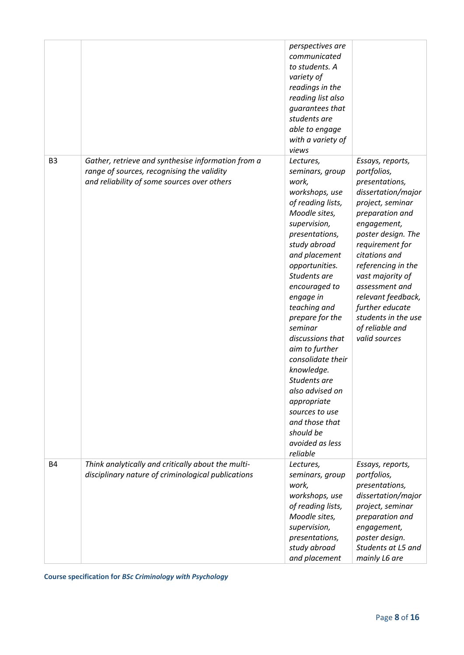|                |                                                                                                                                                 | perspectives are<br>communicated<br>to students. A<br>variety of<br>readings in the<br>reading list also<br>guarantees that<br>students are<br>able to engage<br>with a variety of<br>views                                                                                                                                                                                                                                                                                               |                                                                                                                                                                                                                                                                                                                                                         |
|----------------|-------------------------------------------------------------------------------------------------------------------------------------------------|-------------------------------------------------------------------------------------------------------------------------------------------------------------------------------------------------------------------------------------------------------------------------------------------------------------------------------------------------------------------------------------------------------------------------------------------------------------------------------------------|---------------------------------------------------------------------------------------------------------------------------------------------------------------------------------------------------------------------------------------------------------------------------------------------------------------------------------------------------------|
| B <sub>3</sub> | Gather, retrieve and synthesise information from a<br>range of sources, recognising the validity<br>and reliability of some sources over others | Lectures,<br>seminars, group<br>work,<br>workshops, use<br>of reading lists,<br>Moodle sites,<br>supervision,<br>presentations,<br>study abroad<br>and placement<br>opportunities.<br>Students are<br>encouraged to<br>engage in<br>teaching and<br>prepare for the<br>seminar<br>discussions that<br>aim to further<br>consolidate their<br>knowledge.<br>Students are<br>also advised on<br>appropriate<br>sources to use<br>and those that<br>should be<br>avoided as less<br>reliable | Essays, reports,<br>portfolios,<br>presentations,<br>dissertation/major<br>project, seminar<br>preparation and<br>engagement,<br>poster design. The<br>requirement for<br>citations and<br>referencing in the<br>vast majority of<br>assessment and<br>relevant feedback,<br>further educate<br>students in the use<br>of reliable and<br>valid sources |
| <b>B4</b>      | Think analytically and critically about the multi-<br>disciplinary nature of criminological publications                                        | Lectures,<br>seminars, group<br>work,<br>workshops, use<br>of reading lists,<br>Moodle sites,<br>supervision,<br>presentations,<br>study abroad<br>and placement                                                                                                                                                                                                                                                                                                                          | Essays, reports,<br>portfolios,<br>presentations,<br>dissertation/major<br>project, seminar<br>preparation and<br>engagement,<br>poster design.<br>Students at L5 and<br>mainly L6 are                                                                                                                                                                  |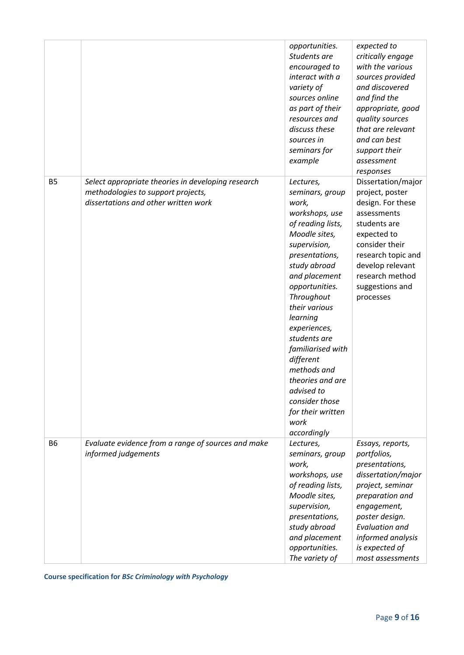|           |                                                                                                                                  | opportunities.<br>Students are<br>encouraged to<br>interact with a<br>variety of<br>sources online<br>as part of their<br>resources and<br>discuss these<br>sources in<br>seminars for<br>example                                                                                                                                                                                                              | expected to<br>critically engage<br>with the various<br>sources provided<br>and discovered<br>and find the<br>appropriate, good<br>quality sources<br>that are relevant<br>and can best<br>support their<br>assessment<br>responses |
|-----------|----------------------------------------------------------------------------------------------------------------------------------|----------------------------------------------------------------------------------------------------------------------------------------------------------------------------------------------------------------------------------------------------------------------------------------------------------------------------------------------------------------------------------------------------------------|-------------------------------------------------------------------------------------------------------------------------------------------------------------------------------------------------------------------------------------|
| <b>B5</b> | Select appropriate theories in developing research<br>methodologies to support projects,<br>dissertations and other written work | Lectures,<br>seminars, group<br>work,<br>workshops, use<br>of reading lists,<br>Moodle sites,<br>supervision,<br>presentations,<br>study abroad<br>and placement<br>opportunities.<br>Throughout<br>their various<br>learning<br>experiences,<br>students are<br>familiarised with<br>different<br>methods and<br>theories and are<br>advised to<br>consider those<br>for their written<br>work<br>accordingly | Dissertation/major<br>project, poster<br>design. For these<br>assessments<br>students are<br>expected to<br>consider their<br>research topic and<br>develop relevant<br>research method<br>suggestions and<br>processes             |
| <b>B6</b> | Evaluate evidence from a range of sources and make<br>informed judgements                                                        | Lectures,<br>seminars, group<br>work,<br>workshops, use<br>of reading lists,<br>Moodle sites,<br>supervision,<br>presentations,<br>study abroad<br>and placement<br>opportunities.<br>The variety of                                                                                                                                                                                                           | Essays, reports,<br>portfolios,<br>presentations,<br>dissertation/major<br>project, seminar<br>preparation and<br>engagement,<br>poster design.<br><b>Evaluation and</b><br>informed analysis<br>is expected of<br>most assessments |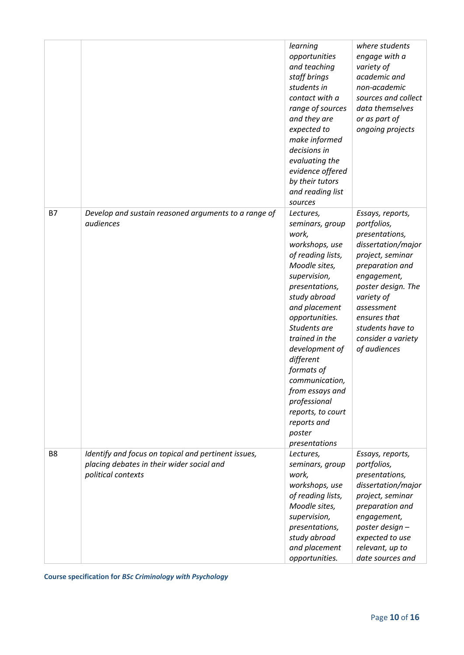|                |                                                                                                                        | learning<br>opportunities<br>and teaching<br>staff brings<br>students in<br>contact with a<br>range of sources<br>and they are<br>expected to<br>make informed<br>decisions in<br>evaluating the<br>evidence offered<br>by their tutors<br>and reading list<br>sources                                                                                                                | where students<br>engage with a<br>variety of<br>academic and<br>non-academic<br>sources and collect<br>data themselves<br>or as part of<br>ongoing projects                                                                                              |
|----------------|------------------------------------------------------------------------------------------------------------------------|---------------------------------------------------------------------------------------------------------------------------------------------------------------------------------------------------------------------------------------------------------------------------------------------------------------------------------------------------------------------------------------|-----------------------------------------------------------------------------------------------------------------------------------------------------------------------------------------------------------------------------------------------------------|
| <b>B7</b>      | Develop and sustain reasoned arguments to a range of<br>audiences                                                      | Lectures,<br>seminars, group<br>work,<br>workshops, use<br>of reading lists,<br>Moodle sites,<br>supervision,<br>presentations,<br>study abroad<br>and placement<br>opportunities.<br>Students are<br>trained in the<br>development of<br>different<br>formats of<br>communication,<br>from essays and<br>professional<br>reports, to court<br>reports and<br>poster<br>presentations | Essays, reports,<br>portfolios,<br>presentations,<br>dissertation/major<br>project, seminar<br>preparation and<br>engagement,<br>poster design. The<br>variety of<br>assessment<br>ensures that<br>students have to<br>consider a variety<br>of audiences |
| B <sub>8</sub> | Identify and focus on topical and pertinent issues,<br>placing debates in their wider social and<br>political contexts | Lectures,<br>seminars, group<br>work,<br>workshops, use<br>of reading lists,<br>Moodle sites,<br>supervision,<br>presentations,<br>study abroad<br>and placement<br>opportunities.                                                                                                                                                                                                    | Essays, reports,<br>portfolios,<br>presentations,<br>dissertation/major<br>project, seminar<br>preparation and<br>engagement,<br>poster design-<br>expected to use<br>relevant, up to<br>date sources and                                                 |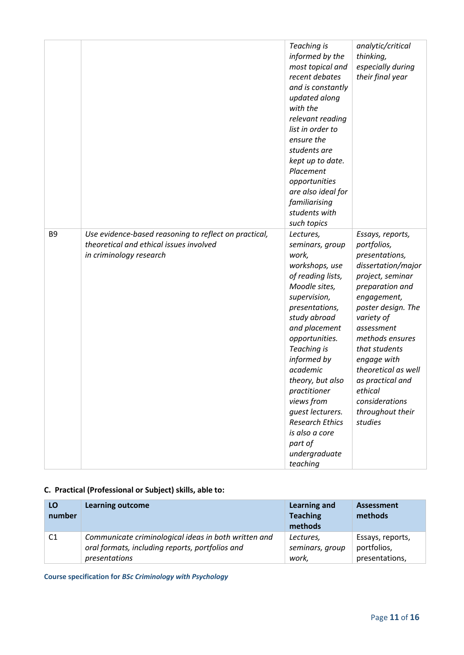|                |                                                       | Teaching is<br>informed by the<br>most topical and<br>recent debates<br>and is constantly<br>updated along<br>with the<br>relevant reading<br>list in order to<br>ensure the<br>students are<br>kept up to date.<br>Placement<br>opportunities<br>are also ideal for<br>familiarising<br>students with<br>such topics | analytic/critical<br>thinking,<br>especially during<br>their final year |
|----------------|-------------------------------------------------------|-----------------------------------------------------------------------------------------------------------------------------------------------------------------------------------------------------------------------------------------------------------------------------------------------------------------------|-------------------------------------------------------------------------|
| B <sub>9</sub> | Use evidence-based reasoning to reflect on practical, | Lectures,                                                                                                                                                                                                                                                                                                             | Essays, reports,                                                        |
|                | theoretical and ethical issues involved               | seminars, group                                                                                                                                                                                                                                                                                                       | portfolios,                                                             |
|                | in criminology research                               | work,                                                                                                                                                                                                                                                                                                                 | presentations,                                                          |
|                |                                                       | workshops, use                                                                                                                                                                                                                                                                                                        | dissertation/major                                                      |
|                |                                                       | of reading lists,                                                                                                                                                                                                                                                                                                     | project, seminar                                                        |
|                |                                                       | Moodle sites,                                                                                                                                                                                                                                                                                                         | preparation and                                                         |
|                |                                                       | supervision,                                                                                                                                                                                                                                                                                                          | engagement,                                                             |
|                |                                                       | presentations,                                                                                                                                                                                                                                                                                                        | poster design. The                                                      |
|                |                                                       | study abroad                                                                                                                                                                                                                                                                                                          | variety of                                                              |
|                |                                                       | and placement                                                                                                                                                                                                                                                                                                         | assessment                                                              |
|                |                                                       | opportunities.                                                                                                                                                                                                                                                                                                        | methods ensures                                                         |
|                |                                                       | Teaching is                                                                                                                                                                                                                                                                                                           | that students                                                           |
|                |                                                       | informed by                                                                                                                                                                                                                                                                                                           | engage with                                                             |
|                |                                                       | academic                                                                                                                                                                                                                                                                                                              | theoretical as well                                                     |
|                |                                                       | theory, but also                                                                                                                                                                                                                                                                                                      | as practical and                                                        |
|                |                                                       | practitioner                                                                                                                                                                                                                                                                                                          | ethical                                                                 |
|                |                                                       | views from                                                                                                                                                                                                                                                                                                            | considerations                                                          |
|                |                                                       | guest lecturers.<br><b>Research Ethics</b>                                                                                                                                                                                                                                                                            | throughout their                                                        |
|                |                                                       | is also a core                                                                                                                                                                                                                                                                                                        | studies                                                                 |
|                |                                                       | part of                                                                                                                                                                                                                                                                                                               |                                                                         |
|                |                                                       |                                                                                                                                                                                                                                                                                                                       |                                                                         |
|                |                                                       | undergraduate                                                                                                                                                                                                                                                                                                         |                                                                         |
|                |                                                       | teaching                                                                                                                                                                                                                                                                                                              |                                                                         |

### **C. Practical (Professional or Subject) skills, able to:**

| LO<br>number   | <b>Learning outcome</b>                              | Learning and<br><b>Teaching</b><br>methods | Assessment<br>methods |
|----------------|------------------------------------------------------|--------------------------------------------|-----------------------|
| C <sub>1</sub> | Communicate criminological ideas in both written and | Lectures,                                  | Essays, reports,      |
|                | oral formats, including reports, portfolios and      | seminars, group                            | portfolios,           |
|                | presentations                                        | work,                                      | presentations,        |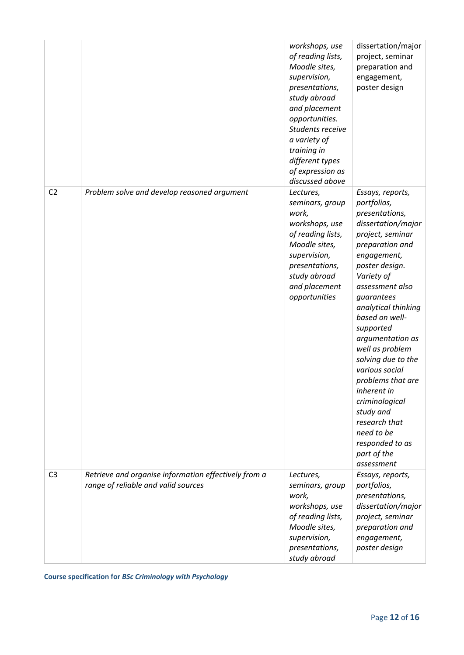|                |                                                                                             | workshops, use<br>of reading lists,<br>Moodle sites,<br>supervision,<br>presentations,<br>study abroad<br>and placement<br>opportunities.<br>Students receive<br>a variety of<br>training in<br>different types<br>of expression as<br>discussed above | dissertation/major<br>project, seminar<br>preparation and<br>engagement,<br>poster design                                                                                                                                                                                                                                                                                                                                                                                             |
|----------------|---------------------------------------------------------------------------------------------|--------------------------------------------------------------------------------------------------------------------------------------------------------------------------------------------------------------------------------------------------------|---------------------------------------------------------------------------------------------------------------------------------------------------------------------------------------------------------------------------------------------------------------------------------------------------------------------------------------------------------------------------------------------------------------------------------------------------------------------------------------|
| C <sub>2</sub> | Problem solve and develop reasoned argument                                                 | Lectures,<br>seminars, group<br>work,<br>workshops, use<br>of reading lists,<br>Moodle sites,<br>supervision,<br>presentations,<br>study abroad<br>and placement<br>opportunities                                                                      | Essays, reports,<br>portfolios,<br>presentations,<br>dissertation/major<br>project, seminar<br>preparation and<br>engagement,<br>poster design.<br>Variety of<br>assessment also<br>guarantees<br>analytical thinking<br>based on well-<br>supported<br>argumentation as<br>well as problem<br>solving due to the<br>various social<br>problems that are<br>inherent in<br>criminological<br>study and<br>research that<br>need to be<br>responded to as<br>part of the<br>assessment |
| C <sub>3</sub> | Retrieve and organise information effectively from a<br>range of reliable and valid sources | Lectures,<br>seminars, group                                                                                                                                                                                                                           | Essays, reports,<br>portfolios,                                                                                                                                                                                                                                                                                                                                                                                                                                                       |
|                |                                                                                             | work,<br>workshops, use<br>of reading lists,<br>Moodle sites,<br>supervision,<br>presentations,<br>study abroad                                                                                                                                        | presentations,<br>dissertation/major<br>project, seminar<br>preparation and<br>engagement,<br>poster design                                                                                                                                                                                                                                                                                                                                                                           |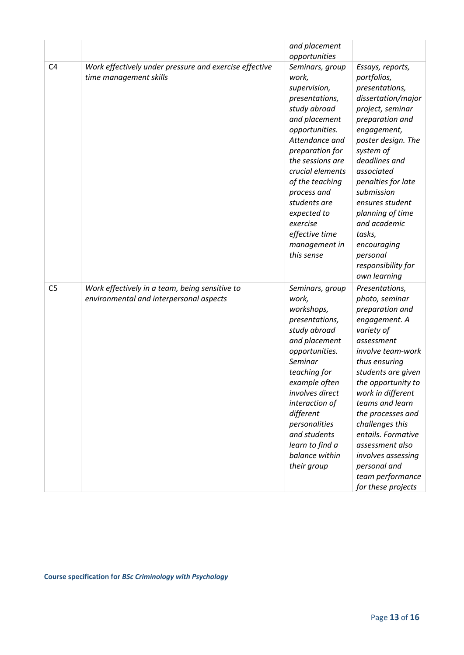|                |                                                                                           | and placement<br>opportunities                                                                                                                                                                                                                                                                                           |                                                                                                                                                                                                                                                                                                                                                                                             |
|----------------|-------------------------------------------------------------------------------------------|--------------------------------------------------------------------------------------------------------------------------------------------------------------------------------------------------------------------------------------------------------------------------------------------------------------------------|---------------------------------------------------------------------------------------------------------------------------------------------------------------------------------------------------------------------------------------------------------------------------------------------------------------------------------------------------------------------------------------------|
| C <sub>4</sub> | Work effectively under pressure and exercise effective<br>time management skills          | Seminars, group<br>work,<br>supervision,<br>presentations,<br>study abroad<br>and placement<br>opportunities.<br>Attendance and<br>preparation for<br>the sessions are<br>crucial elements<br>of the teaching<br>process and<br>students are<br>expected to<br>exercise<br>effective time<br>management in<br>this sense | Essays, reports,<br>portfolios,<br>presentations,<br>dissertation/major<br>project, seminar<br>preparation and<br>engagement,<br>poster design. The<br>system of<br>deadlines and<br>associated<br>penalties for late<br>submission<br>ensures student<br>planning of time<br>and academic<br>tasks,<br>encouraging<br>personal<br>responsibility for<br>own learning                       |
| C <sub>5</sub> | Work effectively in a team, being sensitive to<br>environmental and interpersonal aspects | Seminars, group<br>work,<br>workshops,<br>presentations,<br>study abroad<br>and placement<br>opportunities.<br>Seminar<br>teaching for<br>example often<br>involves direct<br>interaction of<br>different<br>personalities<br>and students<br>learn to find a<br>balance within<br>their group                           | Presentations,<br>photo, seminar<br>preparation and<br>engagement. A<br>variety of<br>assessment<br>involve team-work<br>thus ensuring<br>students are given<br>the opportunity to<br>work in different<br>teams and learn<br>the processes and<br>challenges this<br>entails. Formative<br>assessment also<br>involves assessing<br>personal and<br>team performance<br>for these projects |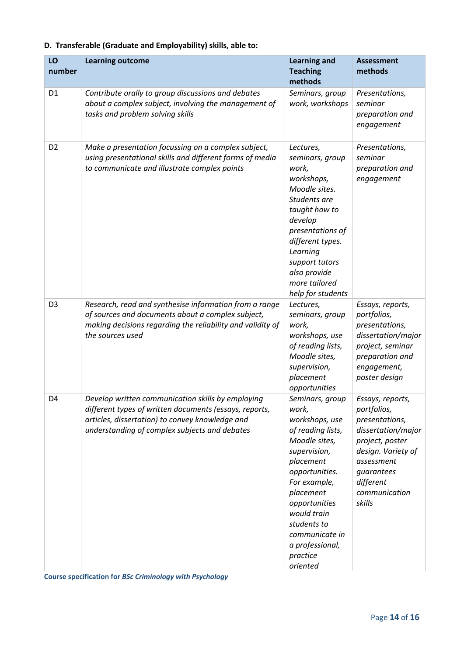|  |  |  | D. Transferable (Graduate and Employability) skills, able to: |  |
|--|--|--|---------------------------------------------------------------|--|
|--|--|--|---------------------------------------------------------------|--|

| LO<br>number   | <b>Learning outcome</b>                                                                                                                                                                                         | <b>Learning and</b><br><b>Teaching</b><br>methods                                                                                                                                                                                                                        | <b>Assessment</b><br>methods                                                                                                                                                         |
|----------------|-----------------------------------------------------------------------------------------------------------------------------------------------------------------------------------------------------------------|--------------------------------------------------------------------------------------------------------------------------------------------------------------------------------------------------------------------------------------------------------------------------|--------------------------------------------------------------------------------------------------------------------------------------------------------------------------------------|
| D <sub>1</sub> | Contribute orally to group discussions and debates<br>about a complex subject, involving the management of<br>tasks and problem solving skills                                                                  | Seminars, group<br>work, workshops                                                                                                                                                                                                                                       | Presentations,<br>seminar<br>preparation and<br>engagement                                                                                                                           |
| D <sub>2</sub> | Make a presentation focussing on a complex subject,<br>using presentational skills and different forms of media<br>to communicate and illustrate complex points                                                 | Lectures,<br>seminars, group<br>work,<br>workshops,<br>Moodle sites.<br>Students are<br>taught how to<br>develop<br>presentations of<br>different types.<br>Learning<br>support tutors<br>also provide<br>more tailored<br>help for students                             | Presentations,<br>seminar<br>preparation and<br>engagement                                                                                                                           |
| D <sub>3</sub> | Research, read and synthesise information from a range<br>of sources and documents about a complex subject,<br>making decisions regarding the reliability and validity of<br>the sources used                   | Lectures,<br>seminars, group<br>work,<br>workshops, use<br>of reading lists,<br>Moodle sites,<br>supervision,<br>placement<br>opportunities                                                                                                                              | Essays, reports,<br>portfolios,<br>presentations,<br>dissertation/major<br>project, seminar<br>preparation and<br>engagement,<br>poster design                                       |
| D <sub>4</sub> | Develop written communication skills by employing<br>different types of written documents (essays, reports,<br>articles, dissertation) to convey knowledge and<br>understanding of complex subjects and debates | Seminars, group<br>work,<br>workshops, use<br>of reading lists,<br>Moodle sites,<br>supervision,<br>placement<br>opportunities.<br>For example,<br>placement<br>opportunities<br>would train<br>students to<br>communicate in<br>a professional,<br>practice<br>oriented | Essays, reports,<br>portfolios,<br>presentations,<br>dissertation/major<br>project, poster<br>design. Variety of<br>assessment<br>guarantees<br>different<br>communication<br>skills |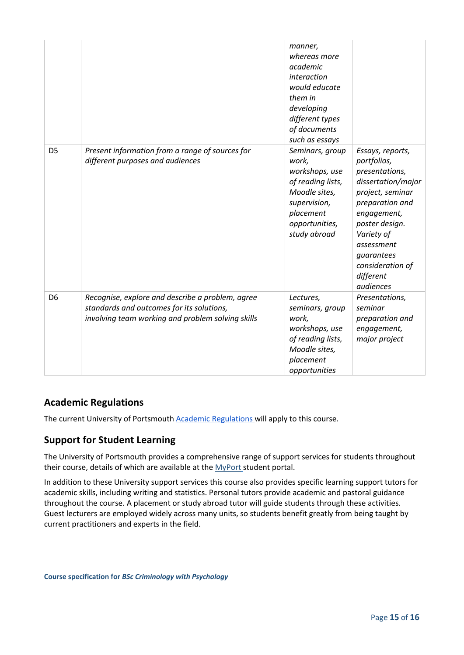|                |                                                                                                                                                    | manner,<br>whereas more<br>academic<br>interaction<br>would educate<br>them in<br>developing<br>different types<br>of documents<br>such as essays |                                                                                                                                                                                                                                         |
|----------------|----------------------------------------------------------------------------------------------------------------------------------------------------|---------------------------------------------------------------------------------------------------------------------------------------------------|-----------------------------------------------------------------------------------------------------------------------------------------------------------------------------------------------------------------------------------------|
| D <sub>5</sub> | Present information from a range of sources for<br>different purposes and audiences                                                                | Seminars, group<br>work,<br>workshops, use<br>of reading lists,<br>Moodle sites,<br>supervision,<br>placement<br>opportunities,<br>study abroad   | Essays, reports,<br>portfolios,<br>presentations,<br>dissertation/major<br>project, seminar<br>preparation and<br>engagement,<br>poster design.<br>Variety of<br>assessment<br>guarantees<br>consideration of<br>different<br>audiences |
| D <sub>6</sub> | Recognise, explore and describe a problem, agree<br>standards and outcomes for its solutions,<br>involving team working and problem solving skills | Lectures,<br>seminars, group<br>work,<br>workshops, use<br>of reading lists,<br>Moodle sites,<br>placement<br>opportunities                       | Presentations,<br>seminar<br>preparation and<br>engagement,<br>major project                                                                                                                                                            |

## **Academic Regulations**

The current University of Portsmouth [Academic Regulations](https://staff.port.ac.uk/departments/services/academicregistry/qmd/assessmentandregulations/) will apply to this course.

## **Support for Student Learning**

The University of Portsmouth provides a comprehensive range of support services for students throughout their course, details of which are available at the [MyPort](http://myport.ac.uk/) student portal.

In addition to these University support services this course also provides specific learning support tutors for academic skills, including writing and statistics. Personal tutors provide academic and pastoral guidance throughout the course. A placement or study abroad tutor will guide students through these activities. Guest lecturers are employed widely across many units, so students benefit greatly from being taught by current practitioners and experts in the field.